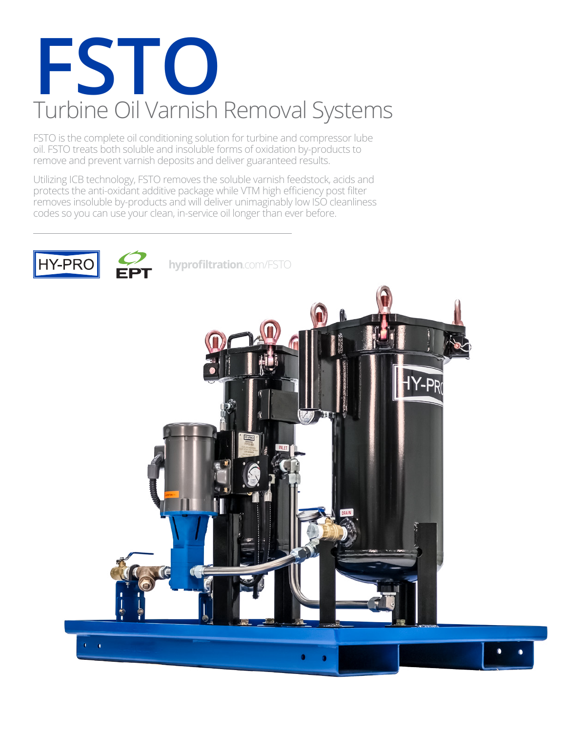## **FSTO** Turbine Oil Varnish Removal Systems

FSTO is the complete oil conditioning solution for turbine and compressor lube oil. FSTO treats both soluble and insoluble forms of oxidation by-products to remove and prevent varnish deposits and deliver guaranteed results.

Utilizing ICB technology, FSTO removes the soluble varnish feedstock, acids and protects the anti-oxidant additive package while VTM high efficiency post filter removes insoluble by-products and will deliver unimaginably low ISO cleanliness codes so you can use your clean, in-service oil longer than ever before.



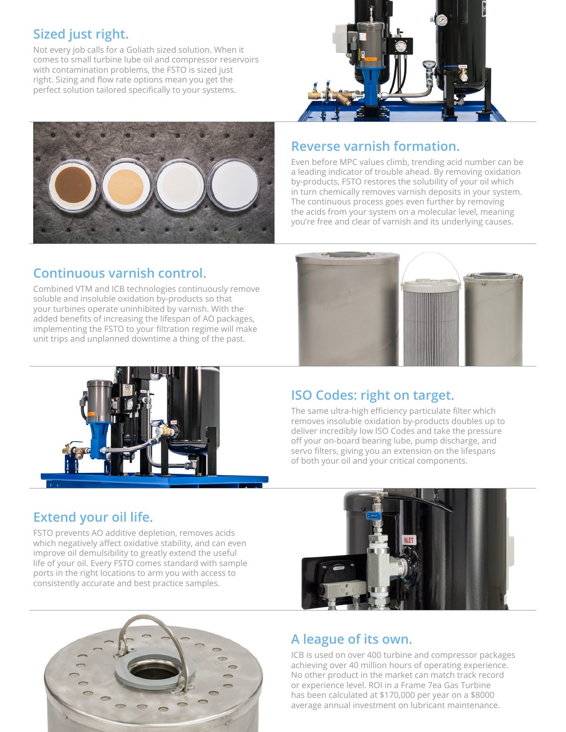#### **Sized just right.**

Not every job calls for a Goliath sized solution. When it comes to small turbine lube oil and compressor reservoirs with contamination problems, the FSTO is sized just right. Sizing and flow rate options mean you get the perfect solution tailored specifically to your systems.





#### **Reverse varnish formation.**

Even before MPC values climb, trending acid number can be a leading indicator of trouble ahead. By removing oxidation by-products, FSTO restores the solubility of your oil which in turn chemically removes varnish deposits in your system. The continuous process goes even further by removing the acids from your system on a molecular level, meaning you're free and clear of varnish and its underlying causes.

### **Continuous varnish control.**

Combined VTM and ICB technologies continuously remove soluble and insoluble oxidation by-products so that your turbines operate uninhibited by varnish. With the added benefits of increasing the lifespan of AO packages, implementing the FSTO to your filtration regime will make unit trips and unplanned downtime a thing of the past.





#### **ISO Codes: right on target.**

The same ultra-high efficiency particulate filter which removes insoluble oxidation by-products doubles up to deliver incredibly low ISO Codes and take the pressure off your on-board bearing lube, pump discharge, and servo filters, giving you an extension on the lifespans of both your oil and your critical components.

### **Extend your oil life.**

FSTO prevents AO additive depletion, removes acids which negatively affect oxidative stability, and can even improve oil demulsibility to greatly extend the useful life of your oil. Every FSTO comes standard with sample ports in the right locations to arm you with access to consistently accurate and best practice samples.





### **A league of its own.**

ICB is used on over 400 turbine and compressor packages achieving over 40 million hours of operating experience. No other product in the market can match track record or experience level. ROI in a Frame 7ea Gas Turbine has been calculated at \$170,000 per year on a \$8000 average annual investment on lubricant maintenance.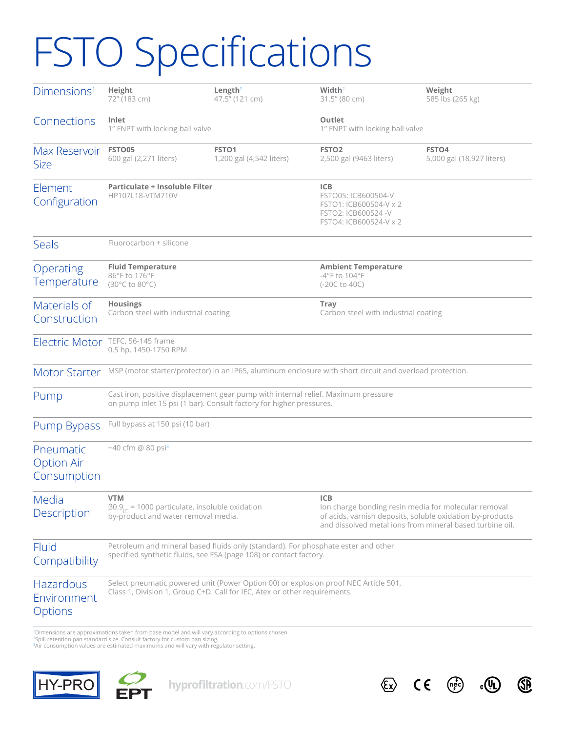# FSTO Specifications

| Dimensions <sup>1</sup>                       | Height<br>72" (183 cm)                                                                                                                                           | Length <sup>2</sup><br>47.5" (121 cm)         | Width $2$<br>31.5" (80 cm)                                                                                                                                                                  | Weight<br>585 lbs (265 kg)         |  |
|-----------------------------------------------|------------------------------------------------------------------------------------------------------------------------------------------------------------------|-----------------------------------------------|---------------------------------------------------------------------------------------------------------------------------------------------------------------------------------------------|------------------------------------|--|
| Connections                                   | Inlet<br>1" FNPT with locking ball valve                                                                                                                         |                                               | Outlet<br>1" FNPT with locking ball valve                                                                                                                                                   |                                    |  |
| Max Reservoir<br><b>Size</b>                  | FSTO05<br>600 gal (2,271 liters)                                                                                                                                 | FSTO <sub>1</sub><br>1,200 gal (4,542 liters) | FSTO <sub>2</sub><br>2,500 gal (9463 liters)                                                                                                                                                | FSTO4<br>5,000 gal (18,927 liters) |  |
| Element<br>Configuration                      | Particulate + Insoluble Filter<br>HP107L18-VTM710V                                                                                                               |                                               | <b>ICB</b><br>FSTO05: ICB600504-V<br>FSTO1: ICB600504-V x 2<br>FSTO2: ICB600524 -V<br>FSTO4: ICB600524-V x 2                                                                                |                                    |  |
| <b>Seals</b>                                  | Fluorocarbon + silicone                                                                                                                                          |                                               |                                                                                                                                                                                             |                                    |  |
| Operating<br>Temperature                      | <b>Fluid Temperature</b><br><b>Ambient Temperature</b><br>-4°F to 104°F<br>86°F to 176°F<br>(30°C to 80°C)<br>(-20C to 40C)                                      |                                               |                                                                                                                                                                                             |                                    |  |
| Materials of<br>Construction                  | <b>Housings</b><br><b>Tray</b><br>Carbon steel with industrial coating<br>Carbon steel with industrial coating                                                   |                                               |                                                                                                                                                                                             |                                    |  |
| Electric Motor                                | TEFC, 56-145 frame<br>0.5 hp, 1450-1750 RPM                                                                                                                      |                                               |                                                                                                                                                                                             |                                    |  |
| <b>Motor Starter</b>                          |                                                                                                                                                                  |                                               | MSP (motor starter/protector) in an IP65, aluminum enclosure with short circuit and overload protection.                                                                                    |                                    |  |
| Pump                                          | Cast iron, positive displacement gear pump with internal relief. Maximum pressure<br>on pump inlet 15 psi (1 bar). Consult factory for higher pressures.         |                                               |                                                                                                                                                                                             |                                    |  |
| Pump Bypass                                   | Full bypass at 150 psi (10 bar)                                                                                                                                  |                                               |                                                                                                                                                                                             |                                    |  |
| Pneumatic<br><b>Option Air</b><br>Consumption | ~40 cfm @ 80 psi <sup>3</sup>                                                                                                                                    |                                               |                                                                                                                                                                                             |                                    |  |
| Media<br>Description                          | VTM<br>$\beta$ 0.9 <sub>rci</sub> = 1000 particulate, insoluble oxidation<br>by-product and water removal media.                                                 |                                               | <b>ICB</b><br>Ion charge bonding resin media for molecular removal<br>of acids, varnish deposits, soluble oxidation by-products<br>and dissolved metal ions from mineral based turbine oil. |                                    |  |
| Fluid<br>Compatibility                        | Petroleum and mineral based fluids only (standard). For phosphate ester and other<br>specified synthetic fluids, see FSA (page 108) or contact factory.          |                                               |                                                                                                                                                                                             |                                    |  |
| <b>Hazardous</b><br>Environment<br>Options    | Select pneumatic powered unit (Power Option 00) or explosion proof NEC Article 501,<br>Class 1, Division 1, Group C+D. Call for IEC, Atex or other requirements. |                                               |                                                                                                                                                                                             |                                    |  |

<sup>1</sup>Dimensions are approximations taken from base model and will vary according to options chosen. 2Spill retention pan standard size. Consult factory for custom pan sizing.

<sup>3</sup>Air consumption values are estimated maximums and will vary with regulator setting.